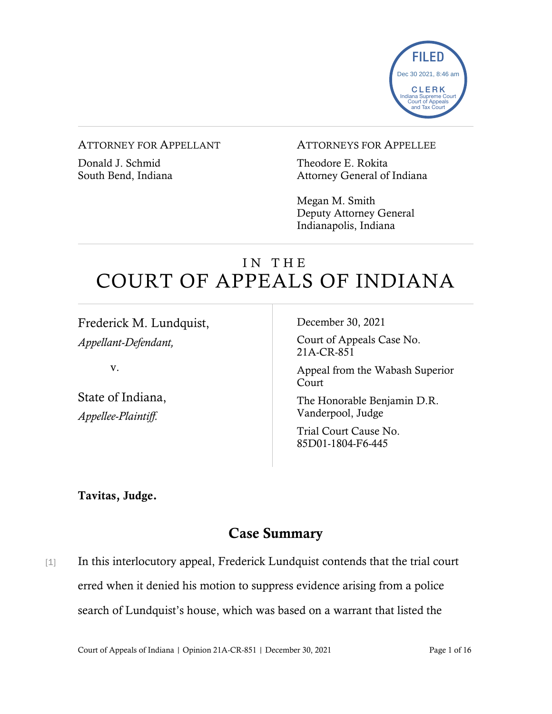

#### ATTORNEY FOR APPELLANT

Donald J. Schmid South Bend, Indiana

#### ATTORNEYS FOR APPELLEE

Theodore E. Rokita Attorney General of Indiana

Megan M. Smith Deputy Attorney General Indianapolis, Indiana

# IN THE COURT OF APPEALS OF INDIANA

Frederick M. Lundquist, *Appellant-Defendant,*

v.

State of Indiana, *Appellee-Plaintiff.*

December 30, 2021

Court of Appeals Case No. 21A-CR-851

Appeal from the Wabash Superior Court

The Honorable Benjamin D.R. Vanderpool, Judge

Trial Court Cause No. 85D01-1804-F6-445

Tavitas, Judge.

## Case Summary

[1] In this interlocutory appeal, Frederick Lundquist contends that the trial court erred when it denied his motion to suppress evidence arising from a police search of Lundquist's house, which was based on a warrant that listed the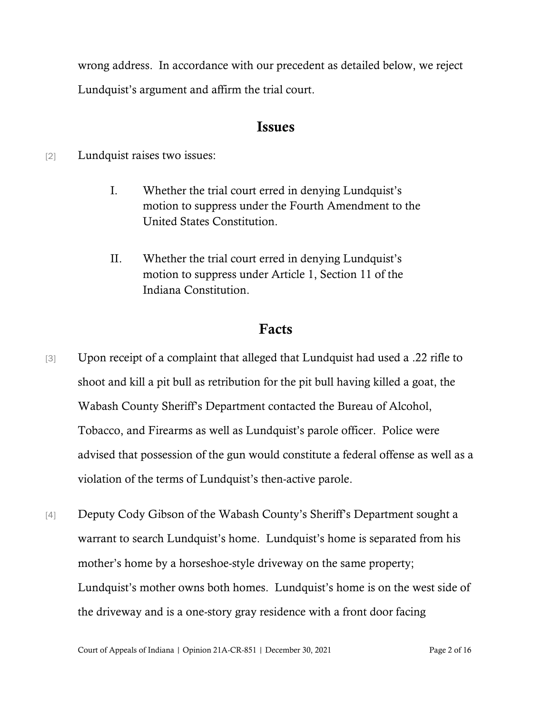wrong address. In accordance with our precedent as detailed below, we reject Lundquist's argument and affirm the trial court.

### Issues

[2] Lundquist raises two issues:

- I. Whether the trial court erred in denying Lundquist's motion to suppress under the Fourth Amendment to the United States Constitution.
- II. Whether the trial court erred in denying Lundquist's motion to suppress under Article 1, Section 11 of the Indiana Constitution.

# Facts

- [3] Upon receipt of a complaint that alleged that Lundquist had used a .22 rifle to shoot and kill a pit bull as retribution for the pit bull having killed a goat, the Wabash County Sheriff's Department contacted the Bureau of Alcohol, Tobacco, and Firearms as well as Lundquist's parole officer. Police were advised that possession of the gun would constitute a federal offense as well as a violation of the terms of Lundquist's then-active parole.
- [4] Deputy Cody Gibson of the Wabash County's Sheriff's Department sought a warrant to search Lundquist's home. Lundquist's home is separated from his mother's home by a horseshoe-style driveway on the same property; Lundquist's mother owns both homes. Lundquist's home is on the west side of the driveway and is a one-story gray residence with a front door facing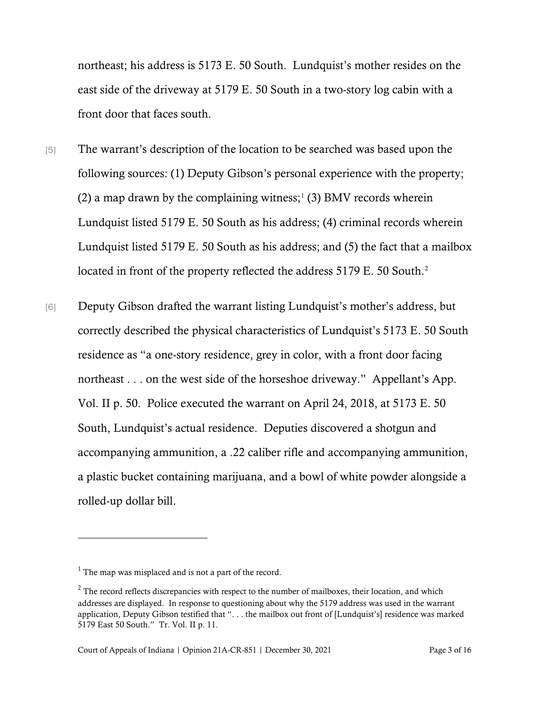northeast; his address is 5173 E. 50 South. Lundquist's mother resides on the east side of the driveway at 5179 E. 50 South in a two-story log cabin with a front door that faces south.

- [5] The warrant's description of the location to be searched was based upon the following sources: (1) Deputy Gibson's personal experience with the property; (2) a map drawn by the complaining witness;<sup>[1](#page-2-0)</sup> (3) BMV records wherein Lundquist listed 5179 E. 50 South as his address; (4) criminal records wherein Lundquist listed 5179 E. 50 South as his address; and (5) the fact that a mailbox located in front of the property reflected the address 5179 E. 50 South.<sup>2</sup>
- [6] Deputy Gibson drafted the warrant listing Lundquist's mother's address, but correctly described the physical characteristics of Lundquist's 5173 E. 50 South residence as "a one-story residence, grey in color, with a front door facing northeast . . . on the west side of the horseshoe driveway." Appellant's App. Vol. II p. 50. Police executed the warrant on April 24, 2018, at 5173 E. 50 South, Lundquist's actual residence. Deputies discovered a shotgun and accompanying ammunition, a .22 caliber rifle and accompanying ammunition, a plastic bucket containing marijuana, and a bowl of white powder alongside a rolled-up dollar bill.

<span id="page-2-0"></span> $<sup>1</sup>$  The map was misplaced and is not a part of the record.</sup>

<span id="page-2-1"></span><sup>&</sup>lt;sup>2</sup> The record reflects discrepancies with respect to the number of mailboxes, their location, and which addresses are displayed. In response to questioning about why the 5179 address was used in the warrant application, Deputy Gibson testified that ". . . the mailbox out front of [Lundquist's] residence was marked 5179 East 50 South." Tr. Vol. II p. 11.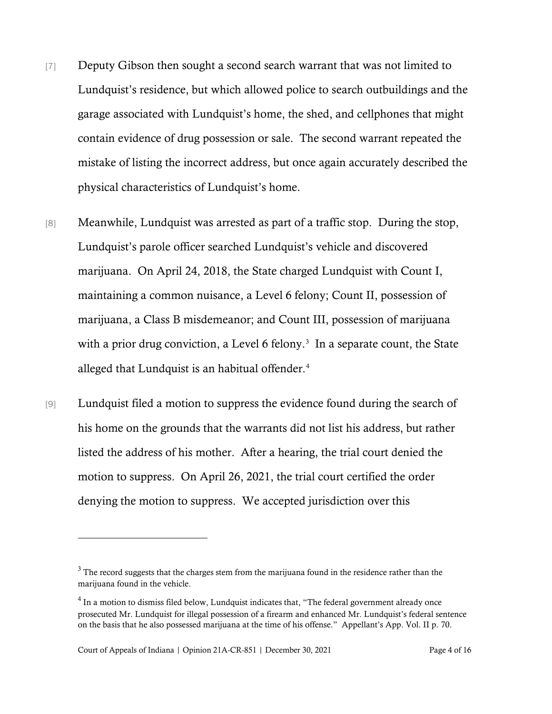- [7] Deputy Gibson then sought a second search warrant that was not limited to Lundquist's residence, but which allowed police to search outbuildings and the garage associated with Lundquist's home, the shed, and cellphones that might contain evidence of drug possession or sale. The second warrant repeated the mistake of listing the incorrect address, but once again accurately described the physical characteristics of Lundquist's home.
- [8] Meanwhile, Lundquist was arrested as part of a traffic stop. During the stop, Lundquist's parole officer searched Lundquist's vehicle and discovered marijuana. On April 24, 2018, the State charged Lundquist with Count I, maintaining a common nuisance, a Level 6 felony; Count II, possession of marijuana, a Class B misdemeanor; and Count III, possession of marijuana with a prior drug conviction, a Level 6 felony.<sup>[3](#page-3-0)</sup> In a separate count, the State alleged that Lundquist is an habitual offender.<sup>[4](#page-3-1)</sup>
- [9] Lundquist filed a motion to suppress the evidence found during the search of his home on the grounds that the warrants did not list his address, but rather listed the address of his mother. After a hearing, the trial court denied the motion to suppress. On April 26, 2021, the trial court certified the order denying the motion to suppress. We accepted jurisdiction over this

<span id="page-3-0"></span> $3$  The record suggests that the charges stem from the marijuana found in the residence rather than the marijuana found in the vehicle.

<span id="page-3-1"></span><sup>&</sup>lt;sup>4</sup> In a motion to dismiss filed below, Lundquist indicates that, "The federal government already once prosecuted Mr. Lundquist for illegal possession of a firearm and enhanced Mr. Lundquist's federal sentence on the basis that he also possessed marijuana at the time of his offense." Appellant's App. Vol. II p. 70.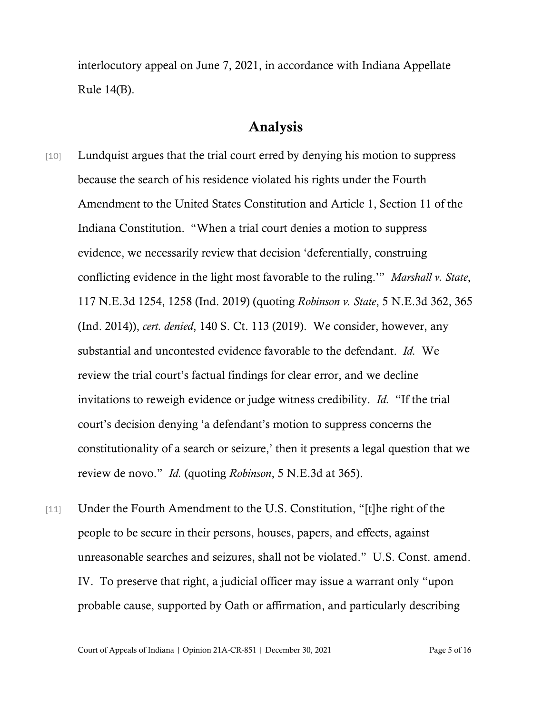interlocutory appeal on June 7, 2021, in accordance with Indiana Appellate Rule 14(B).

## Analysis

- [10] Lundquist argues that the trial court erred by denying his motion to suppress because the search of his residence violated his rights under the Fourth Amendment to the United States Constitution and Article 1, Section 11 of the Indiana Constitution. "When a trial court denies a motion to suppress evidence, we necessarily review that decision 'deferentially, construing conflicting evidence in the light most favorable to the ruling.'" *Marshall v. State*, 117 N.E.3d 1254, 1258 (Ind. 2019) (quoting *Robinson v. State*, 5 N.E.3d 362, 365 (Ind. 2014)), *cert. denied*, 140 S. Ct. 113 (2019). We consider, however, any substantial and uncontested evidence favorable to the defendant. *Id.* We review the trial court's factual findings for clear error, and we decline invitations to reweigh evidence or judge witness credibility. *Id.* "If the trial court's decision denying 'a defendant's motion to suppress concerns the constitutionality of a search or seizure,' then it presents a legal question that we review de novo." *Id.* (quoting *Robinson*, 5 N.E.3d at 365).
- [11] Under the Fourth Amendment to the U.S. Constitution, "[t]he right of the people to be secure in their persons, houses, papers, and effects, against unreasonable searches and seizures, shall not be violated." U.S. Const. amend. IV. To preserve that right, a judicial officer may issue a warrant only "upon probable cause, supported by Oath or affirmation, and particularly describing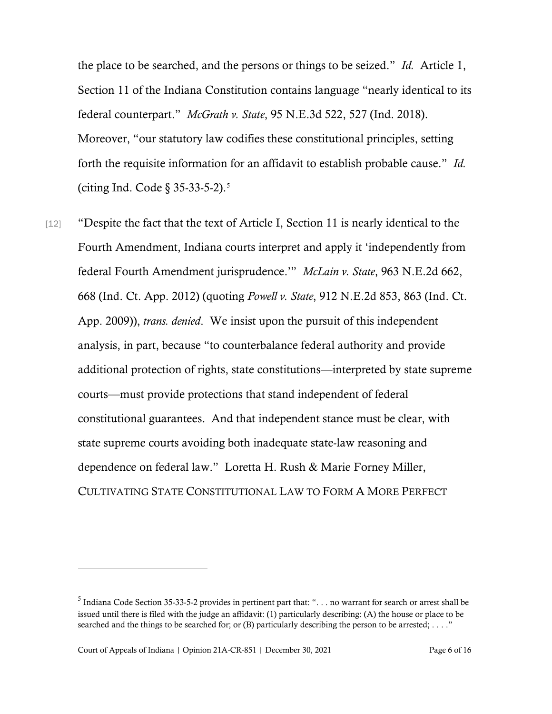the place to be searched, and the persons or things to be seized." *Id.* Article 1, Section 11 of the Indiana Constitution contains language "nearly identical to its federal counterpart." *McGrath v. State*, 95 N.E.3d 522, 527 (Ind. 2018). Moreover, "our statutory law codifies these constitutional principles, setting forth the requisite information for an affidavit to establish probable cause." *Id.* (citing Ind. Code § 35-33-5-2).[5](#page-5-0)

[12] "Despite the fact that the text of Article I, Section 11 is nearly identical to the Fourth Amendment, Indiana courts interpret and apply it 'independently from federal Fourth Amendment jurisprudence.'" *McLain v. State*, 963 N.E.2d 662, 668 (Ind. Ct. App. 2012) (quoting *Powell v. State*, 912 N.E.2d 853, 863 (Ind. Ct. App. 2009)), *trans. denied*. We insist upon the pursuit of this independent analysis, in part, because "to counterbalance federal authority and provide additional protection of rights, state constitutions—interpreted by state supreme courts—must provide protections that stand independent of federal constitutional guarantees. And that independent stance must be clear, with state supreme courts avoiding both inadequate state-law reasoning and dependence on federal law." Loretta H. Rush & Marie Forney Miller, CULTIVATING STATE CONSTITUTIONAL LAW TO FORM A MORE PERFECT

<span id="page-5-0"></span> $<sup>5</sup>$  Indiana Code Section 35-33-5-2 provides in pertinent part that: "... no warrant for search or arrest shall be</sup> issued until there is filed with the judge an affidavit: (1) particularly describing: (A) the house or place to be searched and the things to be searched for; or (B) particularly describing the person to be arrested; ...."

Court of Appeals of Indiana | Opinion 21A-CR-851 | December 30, 2021 Page 6 of 16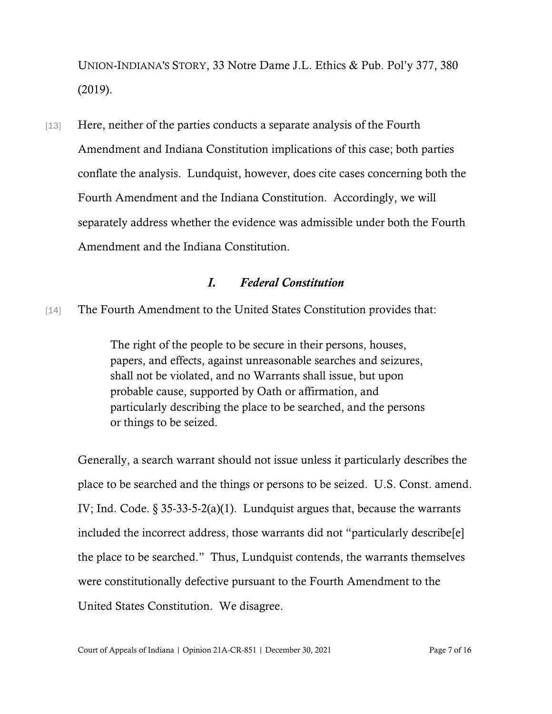UNION-INDIANA'S STORY, 33 Notre Dame J.L. Ethics & Pub. Pol'y 377, 380 (2019).

[13] Here, neither of the parties conducts a separate analysis of the Fourth Amendment and Indiana Constitution implications of this case; both parties conflate the analysis. Lundquist, however, does cite cases concerning both the Fourth Amendment and the Indiana Constitution. Accordingly, we will separately address whether the evidence was admissible under both the Fourth Amendment and the Indiana Constitution.

#### *I. Federal Constitution*

[14] The Fourth Amendment to the United States Constitution provides that:

The right of the people to be secure in their persons, houses, papers, and effects, against unreasonable searches and seizures, shall not be violated, and no Warrants shall issue, but upon probable cause, supported by Oath or affirmation, and particularly describing the place to be searched, and the persons or things to be seized.

Generally, a search warrant should not issue unless it particularly describes the place to be searched and the things or persons to be seized. U.S. Const. amend. IV; Ind. Code. § 35-33-5-2(a)(1). Lundquist argues that, because the warrants included the incorrect address, those warrants did not "particularly describe[e] the place to be searched." Thus, Lundquist contends, the warrants themselves were constitutionally defective pursuant to the Fourth Amendment to the United States Constitution. We disagree.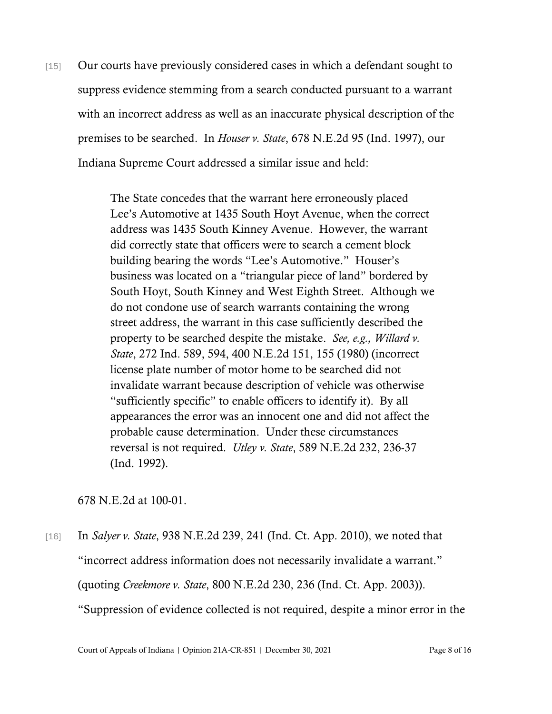[15] Our courts have previously considered cases in which a defendant sought to suppress evidence stemming from a search conducted pursuant to a warrant with an incorrect address as well as an inaccurate physical description of the premises to be searched. In *Houser v. State*, 678 N.E.2d 95 (Ind. 1997), our Indiana Supreme Court addressed a similar issue and held:

> The State concedes that the warrant here erroneously placed Lee's Automotive at 1435 South Hoyt Avenue, when the correct address was 1435 South Kinney Avenue. However, the warrant did correctly state that officers were to search a cement block building bearing the words "Lee's Automotive." Houser's business was located on a "triangular piece of land" bordered by South Hoyt, South Kinney and West Eighth Street. Although we do not condone use of search warrants containing the wrong street address, the warrant in this case sufficiently described the property to be searched despite the mistake. *See, e.g., Willard v. State*, 272 Ind. 589, 594, 400 N.E.2d 151, 155 (1980) (incorrect license plate number of motor home to be searched did not invalidate warrant because description of vehicle was otherwise "sufficiently specific" to enable officers to identify it). By all appearances the error was an innocent one and did not affect the probable cause determination. Under these circumstances reversal is not required. *Utley v. State*, 589 N.E.2d 232, 236-37 (Ind. 1992).

678 N.E.2d at 100-01.

[16] In *Salyer v. State*, 938 N.E.2d 239, 241 (Ind. Ct. App. 2010), we noted that "incorrect address information does not necessarily invalidate a warrant." (quoting *Creekmore v. State*, 800 N.E.2d 230, 236 (Ind. Ct. App. 2003)). "Suppression of evidence collected is not required, despite a minor error in the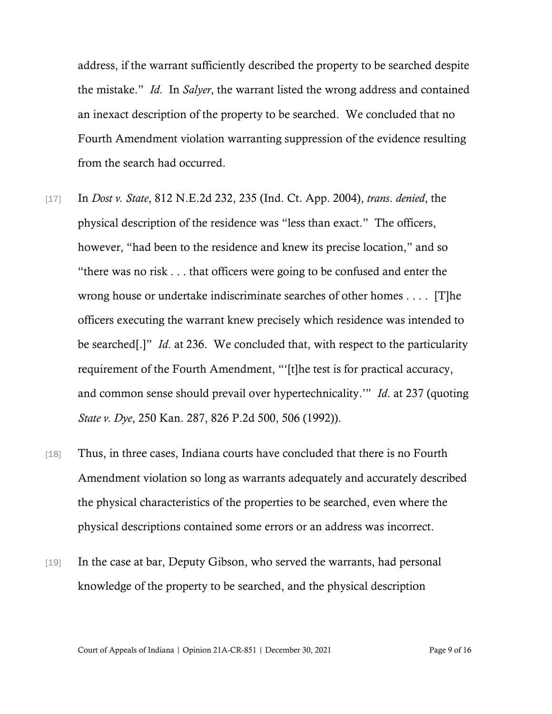address, if the warrant sufficiently described the property to be searched despite the mistake." *Id*. In *Salyer*, the warrant listed the wrong address and contained an inexact description of the property to be searched. We concluded that no Fourth Amendment violation warranting suppression of the evidence resulting from the search had occurred.

- [17] In *Dost v. State*, 812 N.E.2d 232, 235 (Ind. Ct. App. 2004), *trans*. *denied*, the physical description of the residence was "less than exact." The officers, however, "had been to the residence and knew its precise location," and so "there was no risk . . . that officers were going to be confused and enter the wrong house or undertake indiscriminate searches of other homes . . . . [T]he officers executing the warrant knew precisely which residence was intended to be searched[.]" *Id*. at 236. We concluded that, with respect to the particularity requirement of the Fourth Amendment, "'[t]he test is for practical accuracy, and common sense should prevail over hypertechnicality.'" *Id*. at 237 (quoting *State v. Dye*, 250 Kan. 287, 826 P.2d 500, 506 (1992)).
- [18] Thus, in three cases, Indiana courts have concluded that there is no Fourth Amendment violation so long as warrants adequately and accurately described the physical characteristics of the properties to be searched, even where the physical descriptions contained some errors or an address was incorrect.
- [19] In the case at bar, Deputy Gibson, who served the warrants, had personal knowledge of the property to be searched, and the physical description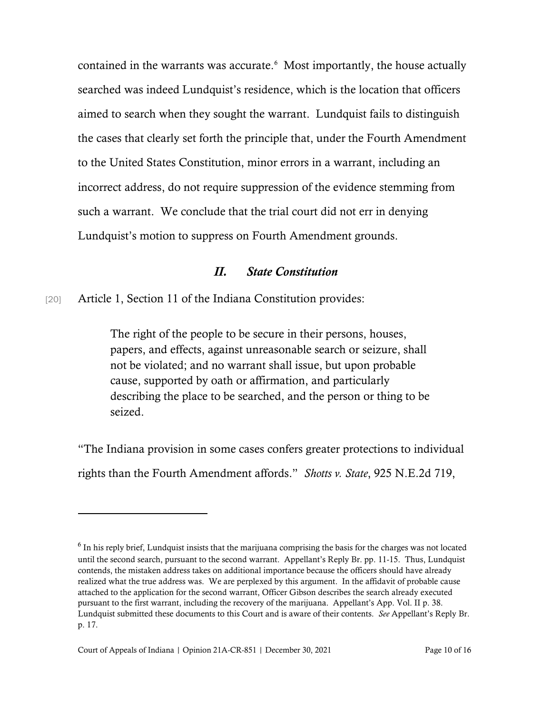contained in the warrants was accurate.<sup>6</sup> Most importantly, the house actually searched was indeed Lundquist's residence, which is the location that officers aimed to search when they sought the warrant. Lundquist fails to distinguish the cases that clearly set forth the principle that, under the Fourth Amendment to the United States Constitution, minor errors in a warrant, including an incorrect address, do not require suppression of the evidence stemming from such a warrant. We conclude that the trial court did not err in denying Lundquist's motion to suppress on Fourth Amendment grounds.

#### *II. State Constitution*

[20] Article 1, Section 11 of the Indiana Constitution provides:

The right of the people to be secure in their persons, houses, papers, and effects, against unreasonable search or seizure, shall not be violated; and no warrant shall issue, but upon probable cause, supported by oath or affirmation, and particularly describing the place to be searched, and the person or thing to be seized.

"The Indiana provision in some cases confers greater protections to individual rights than the Fourth Amendment affords." *Shotts v. State*, 925 N.E.2d 719,

<span id="page-9-0"></span><sup>&</sup>lt;sup>6</sup> In his reply brief, Lundquist insists that the marijuana comprising the basis for the charges was not located until the second search, pursuant to the second warrant. Appellant's Reply Br. pp. 11-15. Thus, Lundquist contends, the mistaken address takes on additional importance because the officers should have already realized what the true address was. We are perplexed by this argument. In the affidavit of probable cause attached to the application for the second warrant, Officer Gibson describes the search already executed pursuant to the first warrant, including the recovery of the marijuana. Appellant's App. Vol. II p. 38. Lundquist submitted these documents to this Court and is aware of their contents. *See* Appellant's Reply Br. p. 17.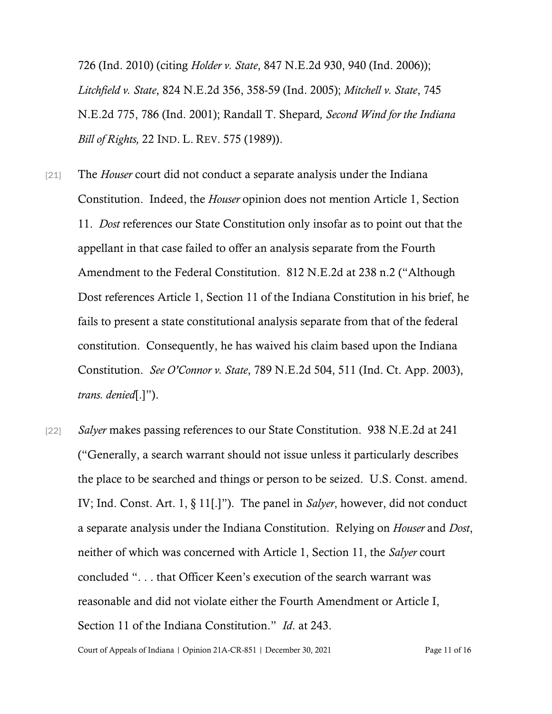726 (Ind. 2010) (citing *Holder v. State*, 847 N.E.2d 930, 940 (Ind. 2006)); *Litchfield v. State*, 824 N.E.2d 356, 358-59 (Ind. 2005); *Mitchell v. State*, 745 N.E.2d 775, 786 (Ind. 2001); Randall T. Shepard*, Second Wind for the Indiana Bill of Rights,* 22 IND. L. REV. 575 (1989)).

- [21] The *Houser* court did not conduct a separate analysis under the Indiana Constitution. Indeed, the *Houser* opinion does not mention Article 1, Section 11. *Dost* references our State Constitution only insofar as to point out that the appellant in that case failed to offer an analysis separate from the Fourth Amendment to the Federal Constitution. 812 N.E.2d at 238 n.2 ("Although Dost references Article 1, Section 11 of the Indiana Constitution in his brief, he fails to present a state constitutional analysis separate from that of the federal constitution. Consequently, he has waived his claim based upon the Indiana Constitution. *See O'Connor v. State*, 789 N.E.2d 504, 511 (Ind. Ct. App. 2003), *trans. denied*[.]").
- [22] *Salyer* makes passing references to our State Constitution. 938 N.E.2d at 241 ("Generally, a search warrant should not issue unless it particularly describes the place to be searched and things or person to be seized. U.S. Const. amend. IV; Ind. Const. Art. 1, § 11[.]"). The panel in *Salyer*, however, did not conduct a separate analysis under the Indiana Constitution. Relying on *Houser* and *Dost*, neither of which was concerned with Article 1, Section 11, the *Salyer* court concluded ". . . that Officer Keen's execution of the search warrant was reasonable and did not violate either the Fourth Amendment or Article I, Section 11 of the Indiana Constitution." *Id*. at 243.

Court of Appeals of Indiana | Opinion 21A-CR-851 | December 30, 2021 Page 11 of 16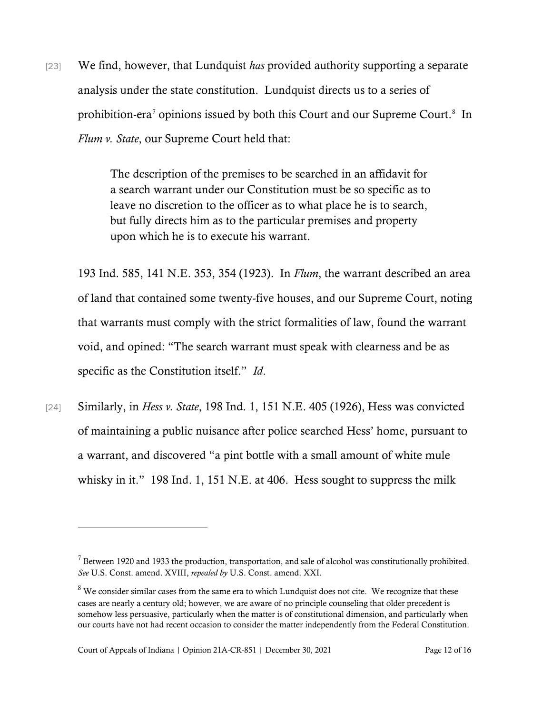[23] We find, however, that Lundquist *has* provided authority supporting a separate analysis under the state constitution. Lundquist directs us to a series of prohibition-era<sup>[7](#page-11-0)</sup> opinions issued by both this Court and our Supreme Court.<sup>[8](#page-11-1)</sup> In *Flum v. State*, our Supreme Court held that:

> The description of the premises to be searched in an affidavit for a search warrant under our Constitution must be so specific as to leave no discretion to the officer as to what place he is to search, but fully directs him as to the particular premises and property upon which he is to execute his warrant.

193 Ind. 585, 141 N.E. 353, 354 (1923). In *Flum*, the warrant described an area of land that contained some twenty-five houses, and our Supreme Court, noting that warrants must comply with the strict formalities of law, found the warrant void, and opined: "The search warrant must speak with clearness and be as specific as the Constitution itself." *Id*.

[24] Similarly, in *Hess v. State*, 198 Ind. 1, 151 N.E. 405 (1926), Hess was convicted of maintaining a public nuisance after police searched Hess' home, pursuant to a warrant, and discovered "a pint bottle with a small amount of white mule whisky in it." 198 Ind. 1, 151 N.E. at 406. Hess sought to suppress the milk

<span id="page-11-0"></span> $<sup>7</sup>$  Between 1920 and 1933 the production, transportation, and sale of alcohol was constitutionally prohibited.</sup> *See* U.S. Const. amend. XVIII, *repealed by* U.S. Const. amend. XXI.

<span id="page-11-1"></span><sup>&</sup>lt;sup>8</sup> We consider similar cases from the same era to which Lundquist does not cite. We recognize that these cases are nearly a century old; however, we are aware of no principle counseling that older precedent is somehow less persuasive, particularly when the matter is of constitutional dimension, and particularly when our courts have not had recent occasion to consider the matter independently from the Federal Constitution.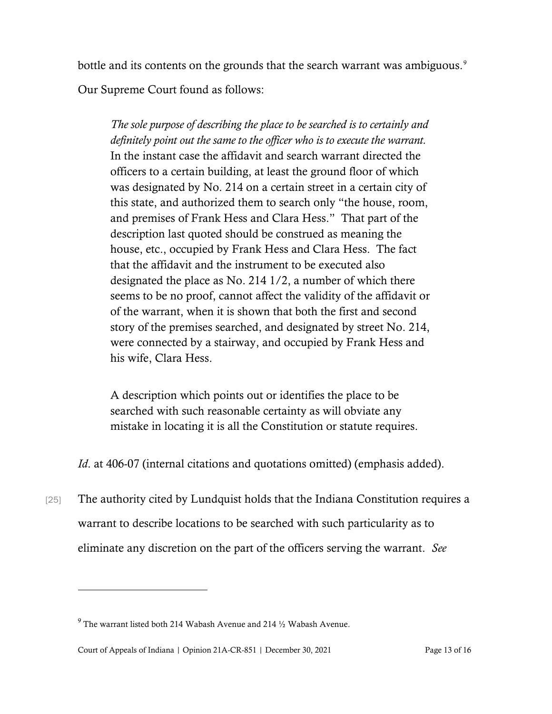bottle and its contents on the grounds that the search warrant was ambiguous.<sup>[9](#page-12-0)</sup> Our Supreme Court found as follows:

*The sole purpose of describing the place to be searched is to certainly and definitely point out the same to the officer who is to execute the warrant.* In the instant case the affidavit and search warrant directed the officers to a certain building, at least the ground floor of which was designated by No. 214 on a certain street in a certain city of this state, and authorized them to search only "the house, room, and premises of Frank Hess and Clara Hess." That part of the description last quoted should be construed as meaning the house, etc., occupied by Frank Hess and Clara Hess. The fact that the affidavit and the instrument to be executed also designated the place as No. 214 1/2, a number of which there seems to be no proof, cannot affect the validity of the affidavit or of the warrant, when it is shown that both the first and second story of the premises searched, and designated by street No. 214, were connected by a stairway, and occupied by Frank Hess and his wife, Clara Hess.

A description which points out or identifies the place to be searched with such reasonable certainty as will obviate any mistake in locating it is all the Constitution or statute requires.

*Id.* at 406-07 (internal citations and quotations omitted) (emphasis added).

[25] The authority cited by Lundquist holds that the Indiana Constitution requires a warrant to describe locations to be searched with such particularity as to eliminate any discretion on the part of the officers serving the warrant. *See*

<span id="page-12-0"></span> $9$  The warrant listed both 214 Wabash Avenue and 214  $\frac{1}{2}$  Wabash Avenue.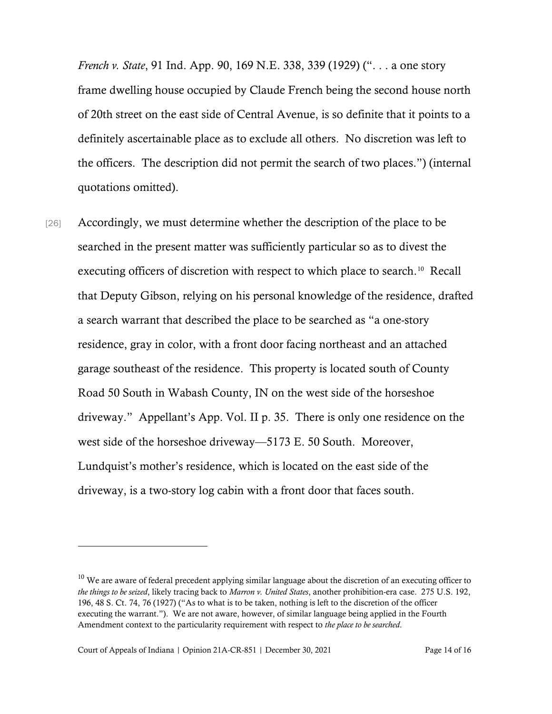*French v. State*, 91 Ind. App. 90, 169 N.E. 338, 339 (1929) (". . . a one story frame dwelling house occupied by Claude French being the second house north of 20th street on the east side of Central Avenue, is so definite that it points to a definitely ascertainable place as to exclude all others. No discretion was left to the officers. The description did not permit the search of two places.") (internal quotations omitted).

[26] Accordingly, we must determine whether the description of the place to be searched in the present matter was sufficiently particular so as to divest the executing officers of discretion with respect to which place to search.<sup>[10](#page-13-0)</sup> Recall that Deputy Gibson, relying on his personal knowledge of the residence, drafted a search warrant that described the place to be searched as "a one-story residence, gray in color, with a front door facing northeast and an attached garage southeast of the residence. This property is located south of County Road 50 South in Wabash County, IN on the west side of the horseshoe driveway." Appellant's App. Vol. II p. 35. There is only one residence on the west side of the horseshoe driveway—5173 E. 50 South. Moreover, Lundquist's mother's residence, which is located on the east side of the driveway, is a two-story log cabin with a front door that faces south.

<span id="page-13-0"></span> $10$  We are aware of federal precedent applying similar language about the discretion of an executing officer to *the things to be seized*, likely tracing back to *Marron v. United States*, another prohibition-era case. 275 U.S. 192, 196, 48 S. Ct. 74, 76 (1927) ("As to what is to be taken, nothing is left to the discretion of the officer executing the warrant."). We are not aware, however, of similar language being applied in the Fourth Amendment context to the particularity requirement with respect to *the place to be searched*.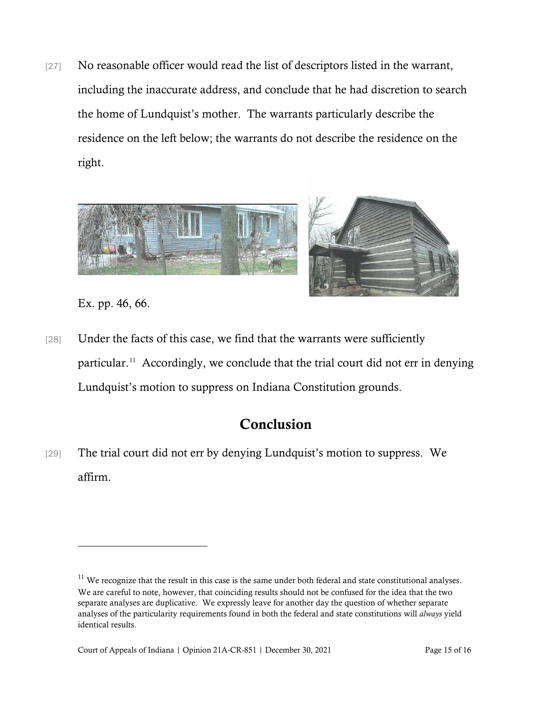[27] No reasonable officer would read the list of descriptors listed in the warrant, including the inaccurate address, and conclude that he had discretion to search the home of Lundquist's mother. The warrants particularly describe the residence on the left below; the warrants do not describe the residence on the right.



Ex. pp. 46, 66.

[28] Under the facts of this case, we find that the warrants were sufficiently particular.[11](#page-14-0) Accordingly, we conclude that the trial court did not err in denying Lundquist's motion to suppress on Indiana Constitution grounds.

# Conclusion

[29] The trial court did not err by denying Lundquist's motion to suppress. We affirm.

<span id="page-14-0"></span> $11$  We recognize that the result in this case is the same under both federal and state constitutional analyses. We are careful to note, however, that coinciding results should not be confused for the idea that the two separate analyses are duplicative. We expressly leave for another day the question of whether separate analyses of the particularity requirements found in both the federal and state constitutions will *always* yield identical results.